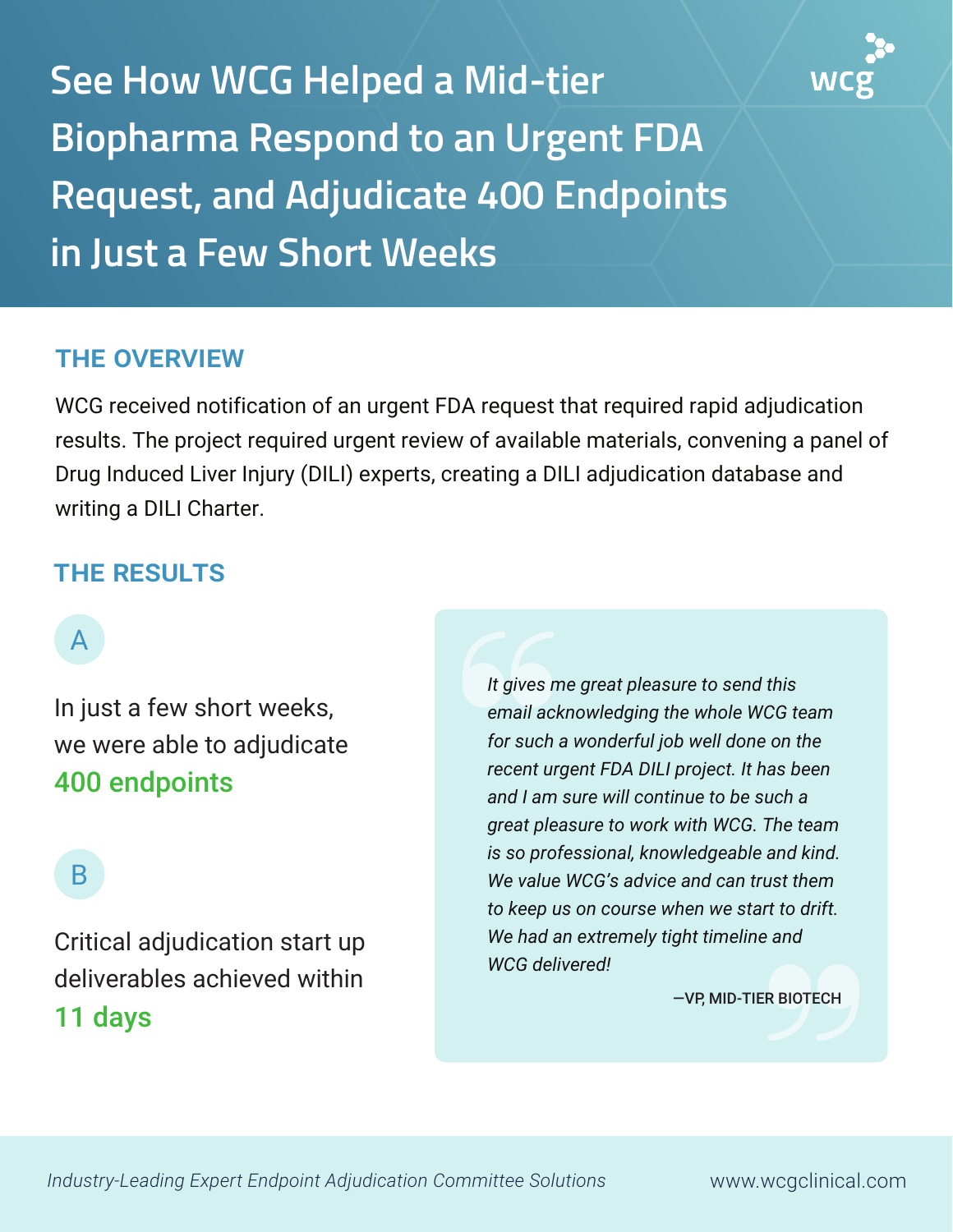**See How WCG Helped a Mid-tier Biopharma Respond to an Urgent FDA Request, and Adjudicate 400 Endpoints in Just a Few Short Weeks**

### THE OVERVIEW

WCG received notification of an urgent FDA request that required rapid adjudication results. The project required urgent review of available materials, convening a panel of Drug Induced Liver Injury (DILI) experts, creating a DILI adjudication database and writing a DILI Charter.

#### THE RESULTS

# A

In just a few short weeks, we were able to adjudicate 400 endpoints

# B

Critical adjudication start up deliverables achieved within 11 days

*It gives me great pleasure to send this email acknowledging the whole WCG team for such a wonderful job well done on the recent urgent FDA DILI project. It has been and I am sure will continue to be such a great pleasure to work with WCG. The team is so professional, knowledgeable and kind. We value WCG's advice and can trust them to keep us on course when we start to drift. We had an extremely tight timeline and WCG delivered!*

—VP, MID-TIER BIOTECH

*Industry-Leading Expert Endpoint Adjudication Committee Solutions* www.wcgclinical.com